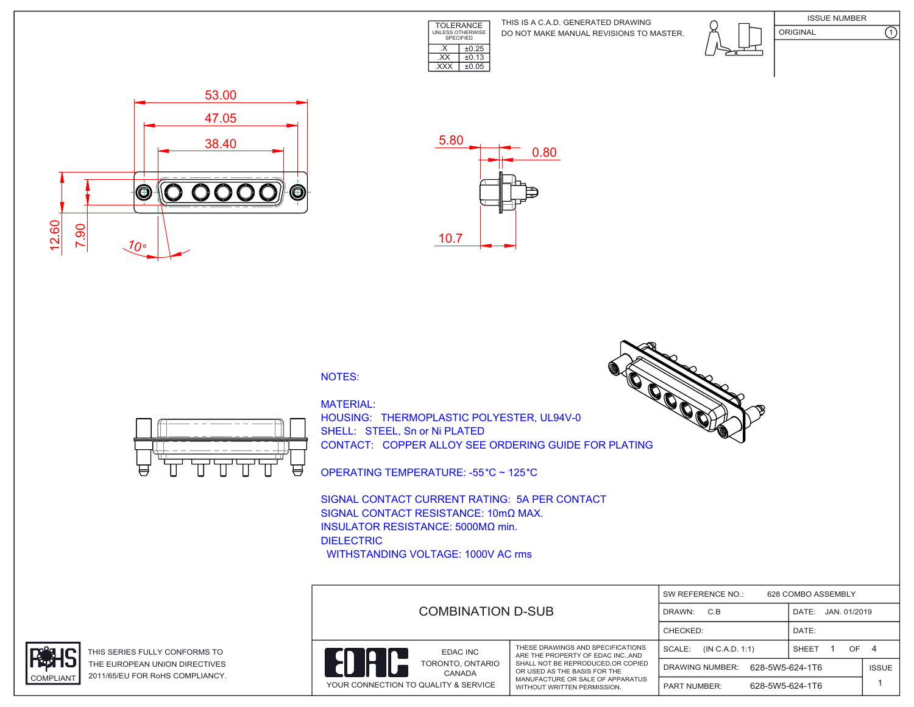

DO NOT MAKE MANUAL REVISIONS TO MASTER. THIS IS A C.A.D. GENERATED DRAWING







NOTES:



MATERIAL: HOUSING: THERMOPLASTIC POLYESTER, UL94V-0 SHELL: STEEL, Sn or Ni PLATED CONTACT: COPPER ALLOY SEE ORDERING GUIDE FOR PLATING

OPERATING TEMPERATURE: -55 °C ~ 125 °C

SIGNAL CONTACT CURRENT RATING: 5A PER CONTACT SIGNAL CONTACT RESISTANCE: 10mΩ MAX. INSULATOR RESISTANCE: 5000MΩ min. DIELECTRIC WITHSTANDING VOLTAGE: 1000V AC rms

| <b>COMBINATION D-SUB</b>                                                       |                                                                                                                                                                                                              | SW REFERENCE NO.:<br>628 COMBO ASSEMBLY   |                       |              |  |
|--------------------------------------------------------------------------------|--------------------------------------------------------------------------------------------------------------------------------------------------------------------------------------------------------------|-------------------------------------------|-----------------------|--------------|--|
|                                                                                |                                                                                                                                                                                                              | C.B<br>DRAWN:                             | JAN. 01/2019<br>DATE: |              |  |
|                                                                                |                                                                                                                                                                                                              | CHECKED:                                  | DATE:                 |              |  |
| EDAC INC<br>TORONTO, ONTARIO<br>CANADA<br>YOUR CONNECTION TO QUALITY & SERVICE | THESE DRAWINGS AND SPECIFICATIONS<br>ARE THE PROPERTY OF EDAC INCAND<br>SHALL NOT BE REPRODUCED.OR COPIED<br>OR USED AS THE BASIS FOR THE<br>MANUFACTURE OR SALE OF APPARATUS<br>WITHOUT WRITTEN PERMISSION. | SCALE:<br>(IN C.A.D. 1:1)                 | OF.<br>SHEET          | - 4          |  |
|                                                                                |                                                                                                                                                                                                              | 628-5W5-624-1T6<br><b>DRAWING NUMBER:</b> |                       | <b>ISSUE</b> |  |
|                                                                                |                                                                                                                                                                                                              | 628-5W5-624-1T6<br><b>PART NUMBER:</b>    |                       |              |  |



THIS SERIES FULLY CONFORMS TO THE EUROPEAN UNION DIRECTIVES COMPLIANT 2011/65/EU FOR RoHS COMPLIANCY.



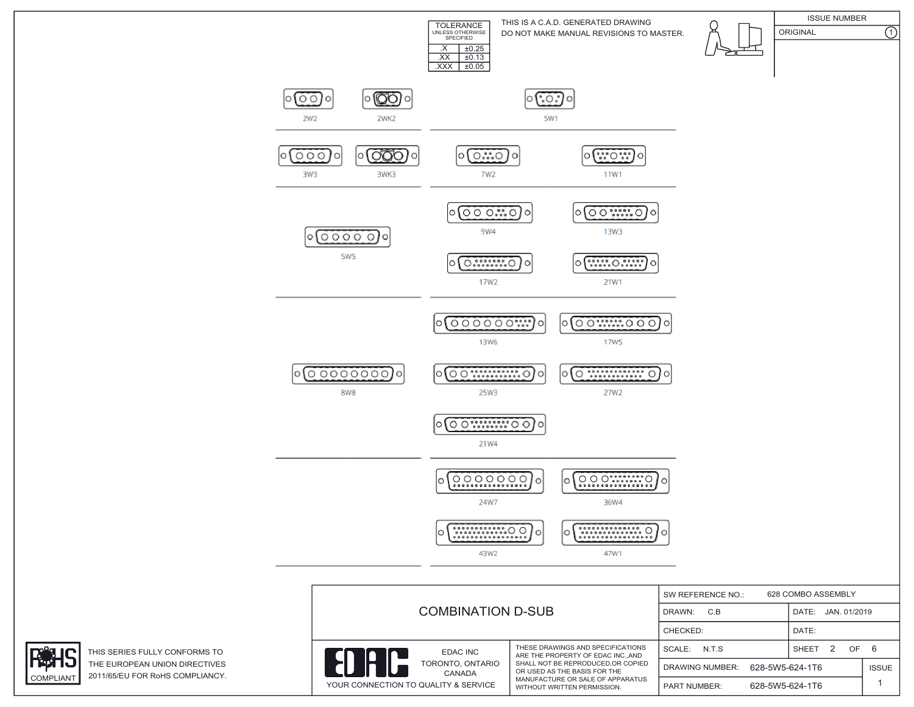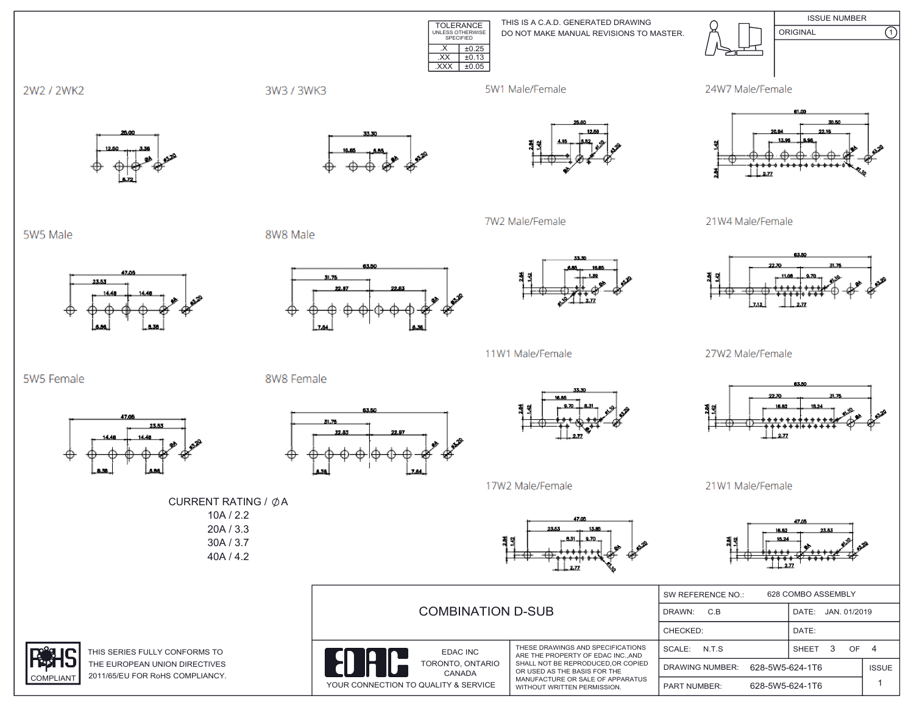TOLERANCE UNLESS OTHERWISE SPECIFIED  $\overline{XX}$   $\pm 0.13$ .XXX ±0.05DO NOT MAKE MANUAL REVISIONS TO MASTER. THIS IS A C.A.D. GENERATED DRAWING ISSUE NUMBER ORIGINAL (1)  $\overline{\text{.}x}$   $\overline{\text{+}0.25}$ 

5W1 Male/Female

7W2 Male/Female









21W4 Male/Female



27W2 Male/Female



21W1 Male/Female



| <b>COMBINATION D-SUB</b>                                                       |                                                                                                                                                                                                              | 628 COMBO ASSEMBLY<br>SW REFERENCE NO.: |                       |              |  |
|--------------------------------------------------------------------------------|--------------------------------------------------------------------------------------------------------------------------------------------------------------------------------------------------------------|-----------------------------------------|-----------------------|--------------|--|
|                                                                                |                                                                                                                                                                                                              | C.B<br>DRAWN:                           | DATE:<br>JAN. 01/2019 |              |  |
|                                                                                |                                                                                                                                                                                                              | CHECKED:                                | DATE:                 |              |  |
| EDAC INC<br>TORONTO, ONTARIO<br>CANADA<br>YOUR CONNECTION TO QUALITY & SERVICE | THESE DRAWINGS AND SPECIFICATIONS<br>ARE THE PROPERTY OF EDAC INCAND<br>SHALL NOT BE REPRODUCED.OR COPIED<br>OR USED AS THE BASIS FOR THE<br>MANUFACTURE OR SALE OF APPARATUS<br>WITHOUT WRITTEN PERMISSION. | SCALE:<br>N.T.S                         | SHEET<br>OF           | 4            |  |
|                                                                                |                                                                                                                                                                                                              | <b>DRAWING NUMBER:</b>                  | 628-5W5-624-1T6       | <b>ISSUE</b> |  |
|                                                                                |                                                                                                                                                                                                              | <b>PART NUMBER:</b>                     | 628-5W5-624-1T6       |              |  |

5W5 Male

5W5 Female

2W2 / 2WK2



23.53

8W8 Male

8W8 Female



53.50

31.76



11W1 Male/Female



17W2 Male/Female

CURRENT RATING /  $\phi$ A 10A / 2.2 20A / 3.3 30A / 3.7 40A / 4.2



THIS SERIES FULLY CONFORMS TO THE EUROPEAN UNION DIRECTIVES COMPLIANT 2011/65/EU FOR RoHS COMPLIANCY.